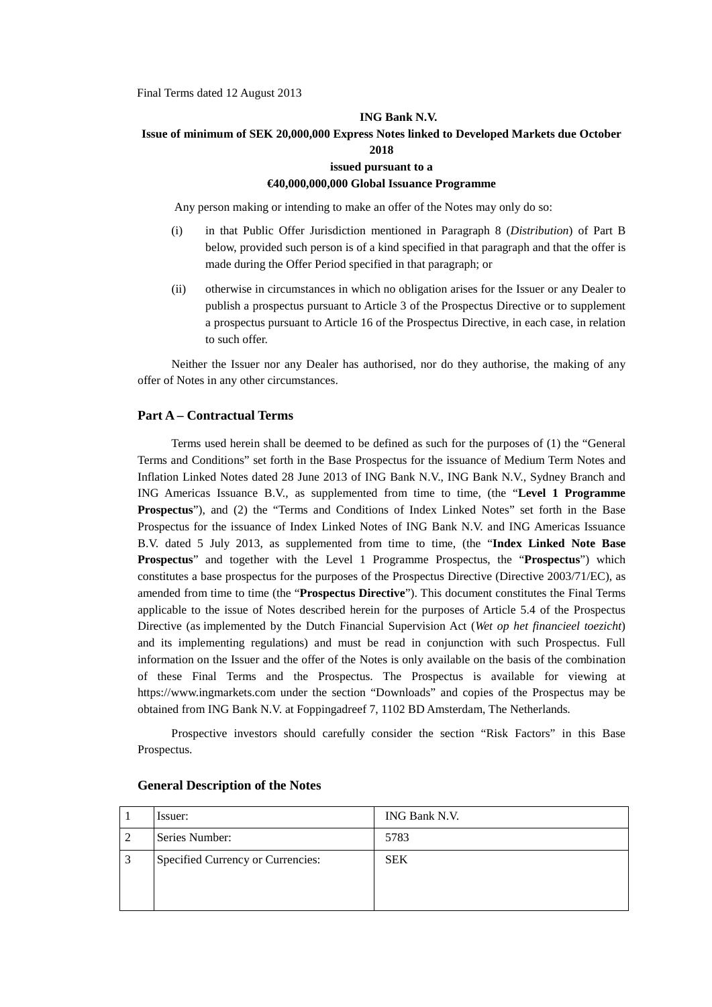Final Terms dated 12 August 2013

#### **ING Bank N.V.**

# **Issue of minimum of SEK 20,000,000 Express Notes linked to Developed Markets due October 2018**

### **issued pursuant to a**

## **€40,000,000,000 Global Issuance Programme**

Any person making or intending to make an offer of the Notes may only do so:

- (i) in that Public Offer Jurisdiction mentioned in Paragraph 8 (*Distribution*) of Part B below, provided such person is of a kind specified in that paragraph and that the offer is made during the Offer Period specified in that paragraph; or
- (ii) otherwise in circumstances in which no obligation arises for the Issuer or any Dealer to publish a prospectus pursuant to Article 3 of the Prospectus Directive or to supplement a prospectus pursuant to Article 16 of the Prospectus Directive, in each case, in relation to such offer.

Neither the Issuer nor any Dealer has authorised, nor do they authorise, the making of any offer of Notes in any other circumstances.

#### **Part A – Contractual Terms**

Terms used herein shall be deemed to be defined as such for the purposes of (1) the "General Terms and Conditions" set forth in the Base Prospectus for the issuance of Medium Term Notes and Inflation Linked Notes dated 28 June 2013 of ING Bank N.V., ING Bank N.V., Sydney Branch and ING Americas Issuance B.V., as supplemented from time to time, (the "**Level 1 Programme Prospectus**"), and (2) the "Terms and Conditions of Index Linked Notes" set forth in the Base Prospectus for the issuance of Index Linked Notes of ING Bank N.V. and ING Americas Issuance B.V. dated 5 July 2013, as supplemented from time to time, (the "**Index Linked Note Base Prospectus**" and together with the Level 1 Programme Prospectus, the "**Prospectus**") which constitutes a base prospectus for the purposes of the Prospectus Directive (Directive 2003/71/EC), as amended from time to time (the "**Prospectus Directive**"). This document constitutes the Final Terms applicable to the issue of Notes described herein for the purposes of Article 5.4 of the Prospectus Directive (as implemented by the Dutch Financial Supervision Act (*Wet op het financieel toezicht*) and its implementing regulations) and must be read in conjunction with such Prospectus. Full information on the Issuer and the offer of the Notes is only available on the basis of the combination of these Final Terms and the Prospectus. The Prospectus is available for viewing at https://www.ingmarkets.com under the section "Downloads" and copies of the Prospectus may be obtained from ING Bank N.V. at Foppingadreef 7, 1102 BD Amsterdam, The Netherlands*.*

Prospective investors should carefully consider the section "Risk Factors" in this Base Prospectus.

|                | Issuer:                           | ING Bank N.V. |
|----------------|-----------------------------------|---------------|
| $\overline{c}$ | Series Number:                    | 5783          |
| l 3            | Specified Currency or Currencies: | <b>SEK</b>    |

#### **General Description of the Notes**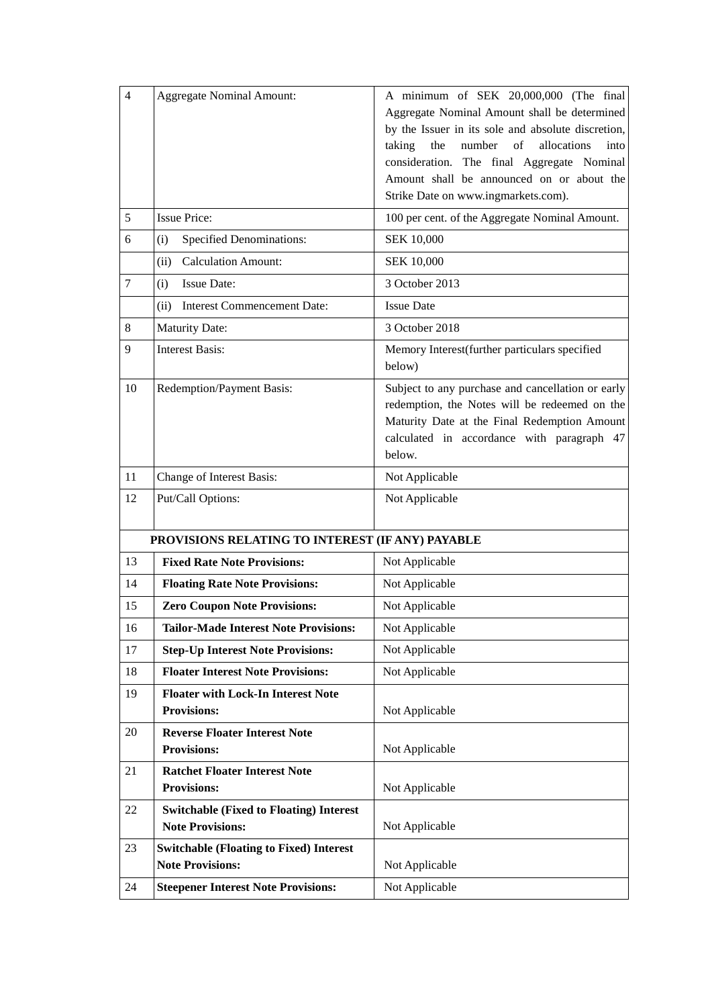| $\overline{4}$ | <b>Aggregate Nominal Amount:</b>                                          | A minimum of SEK 20,000,000 (The final<br>Aggregate Nominal Amount shall be determined<br>by the Issuer in its sole and absolute discretion,                                                               |
|----------------|---------------------------------------------------------------------------|------------------------------------------------------------------------------------------------------------------------------------------------------------------------------------------------------------|
|                |                                                                           | the<br>number<br>of<br>allocations<br>taking<br>into<br>consideration. The final Aggregate Nominal<br>Amount shall be announced on or about the                                                            |
|                |                                                                           | Strike Date on www.ingmarkets.com).                                                                                                                                                                        |
| 5              | <b>Issue Price:</b>                                                       | 100 per cent. of the Aggregate Nominal Amount.                                                                                                                                                             |
| 6              | <b>Specified Denominations:</b><br>(i)                                    | <b>SEK 10,000</b>                                                                                                                                                                                          |
|                | <b>Calculation Amount:</b><br>(ii)                                        | <b>SEK 10,000</b>                                                                                                                                                                                          |
| 7              | <b>Issue Date:</b><br>(i)                                                 | 3 October 2013                                                                                                                                                                                             |
|                | (ii) Interest Commencement Date:                                          | <b>Issue Date</b>                                                                                                                                                                                          |
| 8              | <b>Maturity Date:</b>                                                     | 3 October 2018                                                                                                                                                                                             |
| 9              | <b>Interest Basis:</b>                                                    | Memory Interest(further particulars specified<br>below)                                                                                                                                                    |
| 10             | Redemption/Payment Basis:                                                 | Subject to any purchase and cancellation or early<br>redemption, the Notes will be redeemed on the<br>Maturity Date at the Final Redemption Amount<br>calculated in accordance with paragraph 47<br>below. |
| 11             | Change of Interest Basis:                                                 | Not Applicable                                                                                                                                                                                             |
| 12             | Put/Call Options:                                                         | Not Applicable                                                                                                                                                                                             |
|                | PROVISIONS RELATING TO INTEREST (IF ANY) PAYABLE                          |                                                                                                                                                                                                            |
| 13             | <b>Fixed Rate Note Provisions:</b>                                        | Not Applicable                                                                                                                                                                                             |
| 14             | <b>Floating Rate Note Provisions:</b>                                     | Not Applicable                                                                                                                                                                                             |
| 15             | <b>Zero Coupon Note Provisions:</b>                                       | Not Applicable                                                                                                                                                                                             |
| 16             | <b>Tailor-Made Interest Note Provisions:</b>                              | Not Applicable                                                                                                                                                                                             |
| 17             | <b>Step-Up Interest Note Provisions:</b>                                  | Not Applicable                                                                                                                                                                                             |
| 18             | <b>Floater Interest Note Provisions:</b>                                  | Not Applicable                                                                                                                                                                                             |
| 19             | <b>Floater with Lock-In Interest Note</b><br><b>Provisions:</b>           | Not Applicable                                                                                                                                                                                             |
| 20             | <b>Reverse Floater Interest Note</b><br><b>Provisions:</b>                | Not Applicable                                                                                                                                                                                             |
| 21             | <b>Ratchet Floater Interest Note</b><br><b>Provisions:</b>                | Not Applicable                                                                                                                                                                                             |
| 22             | <b>Switchable (Fixed to Floating) Interest</b><br><b>Note Provisions:</b> | Not Applicable                                                                                                                                                                                             |
| 23             | <b>Switchable (Floating to Fixed) Interest</b><br><b>Note Provisions:</b> | Not Applicable                                                                                                                                                                                             |
| 24             | <b>Steepener Interest Note Provisions:</b>                                | Not Applicable                                                                                                                                                                                             |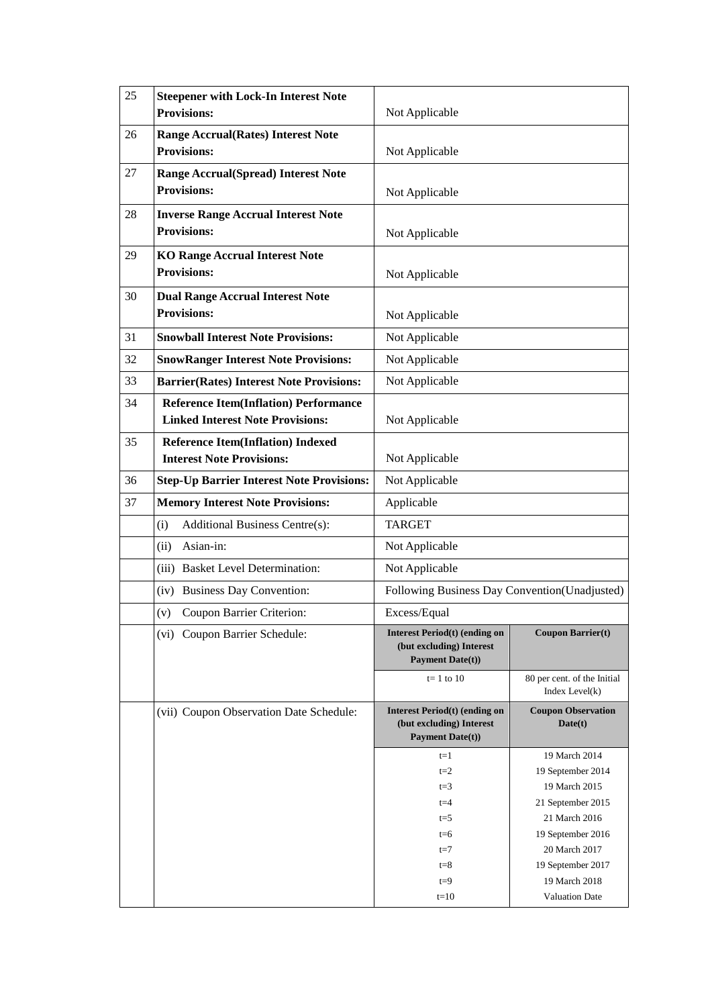| 25 | <b>Steepener with Lock-In Interest Note</b><br><b>Provisions:</b>                       | Not Applicable                                                                              |                                                  |
|----|-----------------------------------------------------------------------------------------|---------------------------------------------------------------------------------------------|--------------------------------------------------|
| 26 | <b>Range Accrual (Rates) Interest Note</b>                                              |                                                                                             |                                                  |
|    | <b>Provisions:</b>                                                                      | Not Applicable                                                                              |                                                  |
| 27 | <b>Range Accrual(Spread) Interest Note</b>                                              |                                                                                             |                                                  |
|    | <b>Provisions:</b>                                                                      | Not Applicable                                                                              |                                                  |
| 28 | <b>Inverse Range Accrual Interest Note</b>                                              |                                                                                             |                                                  |
|    | <b>Provisions:</b>                                                                      | Not Applicable                                                                              |                                                  |
| 29 | <b>KO Range Accrual Interest Note</b><br><b>Provisions:</b>                             |                                                                                             |                                                  |
|    |                                                                                         | Not Applicable                                                                              |                                                  |
| 30 | <b>Dual Range Accrual Interest Note</b><br><b>Provisions:</b>                           |                                                                                             |                                                  |
|    |                                                                                         | Not Applicable                                                                              |                                                  |
| 31 | <b>Snowball Interest Note Provisions:</b>                                               | Not Applicable                                                                              |                                                  |
| 32 | <b>SnowRanger Interest Note Provisions:</b>                                             | Not Applicable                                                                              |                                                  |
| 33 | <b>Barrier(Rates) Interest Note Provisions:</b>                                         | Not Applicable                                                                              |                                                  |
| 34 | <b>Reference Item(Inflation) Performance</b><br><b>Linked Interest Note Provisions:</b> | Not Applicable                                                                              |                                                  |
| 35 | <b>Reference Item(Inflation) Indexed</b>                                                |                                                                                             |                                                  |
|    | <b>Interest Note Provisions:</b>                                                        | Not Applicable                                                                              |                                                  |
| 36 | <b>Step-Up Barrier Interest Note Provisions:</b>                                        | Not Applicable                                                                              |                                                  |
| 37 | <b>Memory Interest Note Provisions:</b>                                                 | Applicable                                                                                  |                                                  |
|    | <b>Additional Business Centre(s):</b><br>(i)                                            | <b>TARGET</b>                                                                               |                                                  |
|    | Asian-in:<br>(ii)                                                                       | Not Applicable                                                                              |                                                  |
|    | (iii) Basket Level Determination:                                                       | Not Applicable                                                                              |                                                  |
|    | (iv) Business Day Convention:                                                           | Following Business Day Convention(Unadjusted)                                               |                                                  |
|    | Coupon Barrier Criterion:<br>(v)                                                        | Excess/Equal                                                                                |                                                  |
|    | (vi) Coupon Barrier Schedule:                                                           | <b>Interest Period(t) (ending on</b><br>(but excluding) Interest<br><b>Payment Date(t))</b> | <b>Coupon Barrier(t)</b>                         |
|    |                                                                                         | $t=1$ to 10                                                                                 | 80 per cent. of the Initial<br>Index Level $(k)$ |
|    | (vii) Coupon Observation Date Schedule:                                                 | <b>Interest Period(t) (ending on</b><br>(but excluding) Interest<br><b>Payment Date(t))</b> | <b>Coupon Observation</b><br>Date(t)             |
|    |                                                                                         | $t=1$                                                                                       | 19 March 2014                                    |
|    |                                                                                         | $t=2$                                                                                       | 19 September 2014                                |
|    |                                                                                         | $t=3$<br>$t = 4$                                                                            | 19 March 2015<br>21 September 2015               |
|    |                                                                                         | $t = 5$                                                                                     | 21 March 2016                                    |
|    |                                                                                         | $t=6$                                                                                       | 19 September 2016                                |
|    |                                                                                         | $t = 7$                                                                                     | 20 March 2017                                    |
|    |                                                                                         | $t = 8$                                                                                     | 19 September 2017                                |
|    |                                                                                         | $t=9$                                                                                       | 19 March 2018                                    |
|    |                                                                                         | $t=10$                                                                                      | Valuation Date                                   |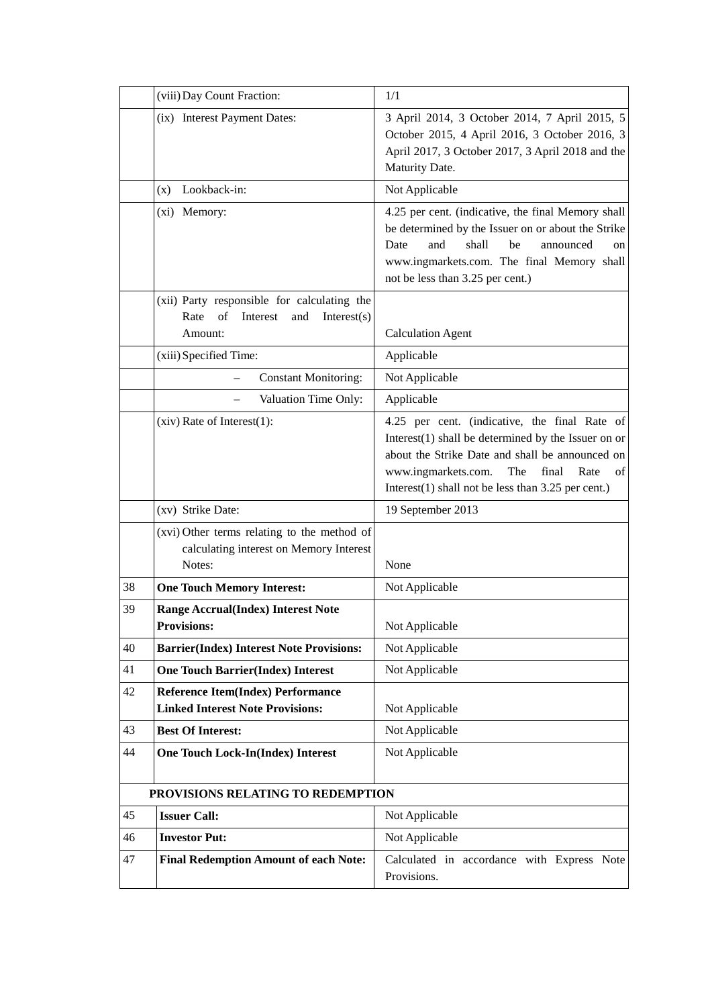|    | (viii) Day Count Fraction:                                                                       | 1/1                                                                                                                                                                                                                                                                      |
|----|--------------------------------------------------------------------------------------------------|--------------------------------------------------------------------------------------------------------------------------------------------------------------------------------------------------------------------------------------------------------------------------|
|    | (ix) Interest Payment Dates:                                                                     | 3 April 2014, 3 October 2014, 7 April 2015, 5<br>October 2015, 4 April 2016, 3 October 2016, 3<br>April 2017, 3 October 2017, 3 April 2018 and the<br>Maturity Date.                                                                                                     |
|    | Lookback-in:<br>(x)                                                                              | Not Applicable                                                                                                                                                                                                                                                           |
|    | (xi) Memory:                                                                                     | 4.25 per cent. (indicative, the final Memory shall<br>be determined by the Issuer on or about the Strike<br>shall<br>Date<br>and<br>be<br>announced<br><sub>on</sub><br>www.ingmarkets.com. The final Memory shall<br>not be less than 3.25 per cent.)                   |
|    | (xii) Party responsible for calculating the                                                      |                                                                                                                                                                                                                                                                          |
|    | Rate<br>of<br>Interest<br>Interest(s)<br>and<br>Amount:                                          | <b>Calculation Agent</b>                                                                                                                                                                                                                                                 |
|    | (xiii) Specified Time:                                                                           | Applicable                                                                                                                                                                                                                                                               |
|    | <b>Constant Monitoring:</b>                                                                      | Not Applicable                                                                                                                                                                                                                                                           |
|    | Valuation Time Only:                                                                             | Applicable                                                                                                                                                                                                                                                               |
|    | $(xiv)$ Rate of Interest $(1)$ :                                                                 | 4.25 per cent. (indicative, the final Rate of<br>Interest $(1)$ shall be determined by the Issuer on or<br>about the Strike Date and shall be announced on<br>www.ingmarkets.com.<br>The<br>final<br>Rate<br>of<br>Interest $(1)$ shall not be less than 3.25 per cent.) |
|    | (xv) Strike Date:                                                                                | 19 September 2013                                                                                                                                                                                                                                                        |
|    | (xvi) Other terms relating to the method of<br>calculating interest on Memory Interest<br>Notes: | None                                                                                                                                                                                                                                                                     |
| 38 | <b>One Touch Memory Interest:</b>                                                                | Not Applicable                                                                                                                                                                                                                                                           |
| 39 | Range Accrual(Index) Interest Note<br><b>Provisions:</b>                                         | Not Applicable                                                                                                                                                                                                                                                           |
| 40 | <b>Barrier(Index) Interest Note Provisions:</b>                                                  | Not Applicable                                                                                                                                                                                                                                                           |
| 41 | <b>One Touch Barrier(Index) Interest</b>                                                         | Not Applicable                                                                                                                                                                                                                                                           |
| 42 | <b>Reference Item(Index) Performance</b><br><b>Linked Interest Note Provisions:</b>              | Not Applicable                                                                                                                                                                                                                                                           |
| 43 | <b>Best Of Interest:</b>                                                                         | Not Applicable                                                                                                                                                                                                                                                           |
| 44 | <b>One Touch Lock-In(Index) Interest</b>                                                         | Not Applicable                                                                                                                                                                                                                                                           |
|    | PROVISIONS RELATING TO REDEMPTION                                                                |                                                                                                                                                                                                                                                                          |
| 45 | <b>Issuer Call:</b>                                                                              | Not Applicable                                                                                                                                                                                                                                                           |
| 46 | <b>Investor Put:</b>                                                                             | Not Applicable                                                                                                                                                                                                                                                           |
| 47 | <b>Final Redemption Amount of each Note:</b>                                                     | Calculated in accordance with Express Note<br>Provisions.                                                                                                                                                                                                                |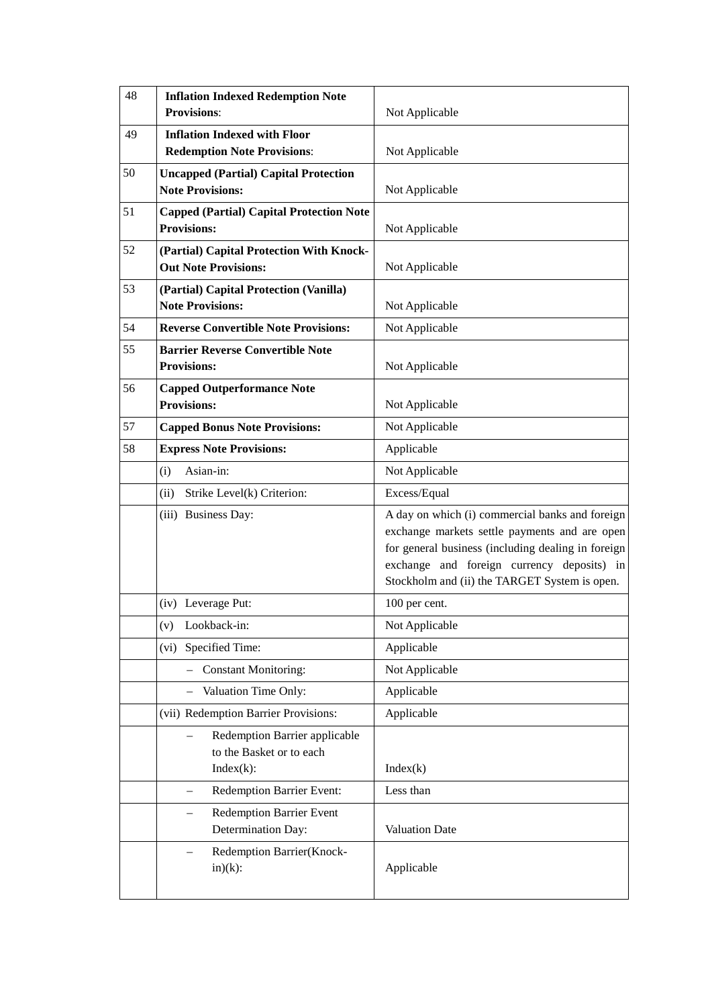| 48 | <b>Inflation Indexed Redemption Note</b><br><b>Provisions:</b>            | Not Applicable                                                                                                                                                                                                                                        |
|----|---------------------------------------------------------------------------|-------------------------------------------------------------------------------------------------------------------------------------------------------------------------------------------------------------------------------------------------------|
| 49 | <b>Inflation Indexed with Floor</b><br><b>Redemption Note Provisions:</b> | Not Applicable                                                                                                                                                                                                                                        |
| 50 | <b>Uncapped (Partial) Capital Protection</b><br><b>Note Provisions:</b>   | Not Applicable                                                                                                                                                                                                                                        |
| 51 | <b>Capped (Partial) Capital Protection Note</b><br><b>Provisions:</b>     | Not Applicable                                                                                                                                                                                                                                        |
| 52 | (Partial) Capital Protection With Knock-<br><b>Out Note Provisions:</b>   | Not Applicable                                                                                                                                                                                                                                        |
| 53 | (Partial) Capital Protection (Vanilla)<br><b>Note Provisions:</b>         | Not Applicable                                                                                                                                                                                                                                        |
| 54 | <b>Reverse Convertible Note Provisions:</b>                               | Not Applicable                                                                                                                                                                                                                                        |
| 55 | <b>Barrier Reverse Convertible Note</b><br><b>Provisions:</b>             | Not Applicable                                                                                                                                                                                                                                        |
| 56 | <b>Capped Outperformance Note</b><br><b>Provisions:</b>                   | Not Applicable                                                                                                                                                                                                                                        |
| 57 | <b>Capped Bonus Note Provisions:</b>                                      | Not Applicable                                                                                                                                                                                                                                        |
| 58 | <b>Express Note Provisions:</b>                                           | Applicable                                                                                                                                                                                                                                            |
|    | (i)<br>Asian-in:                                                          | Not Applicable                                                                                                                                                                                                                                        |
|    | Strike Level(k) Criterion:<br>(ii)                                        | Excess/Equal                                                                                                                                                                                                                                          |
|    | (iii) Business Day:                                                       | A day on which (i) commercial banks and foreign<br>exchange markets settle payments and are open<br>for general business (including dealing in foreign<br>exchange and foreign currency deposits) in<br>Stockholm and (ii) the TARGET System is open. |
|    | (iv) Leverage Put:                                                        | 100 per cent.                                                                                                                                                                                                                                         |
|    | Lookback-in:<br>(v)                                                       | Not Applicable                                                                                                                                                                                                                                        |
|    | (vi) Specified Time:                                                      | Applicable                                                                                                                                                                                                                                            |
|    | <b>Constant Monitoring:</b>                                               | Not Applicable                                                                                                                                                                                                                                        |
|    | Valuation Time Only:<br>$\qquad \qquad -$                                 | Applicable                                                                                                                                                                                                                                            |
|    | (vii) Redemption Barrier Provisions:                                      | Applicable                                                                                                                                                                                                                                            |
|    | Redemption Barrier applicable<br>to the Basket or to each<br>$Index(k)$ : | Index(k)                                                                                                                                                                                                                                              |
|    | Redemption Barrier Event:<br>$\overline{\phantom{0}}$                     | Less than                                                                                                                                                                                                                                             |
|    | <b>Redemption Barrier Event</b><br>Determination Day:                     | Valuation Date                                                                                                                                                                                                                                        |
|    | Redemption Barrier(Knock-<br>$in)(k)$ :                                   | Applicable                                                                                                                                                                                                                                            |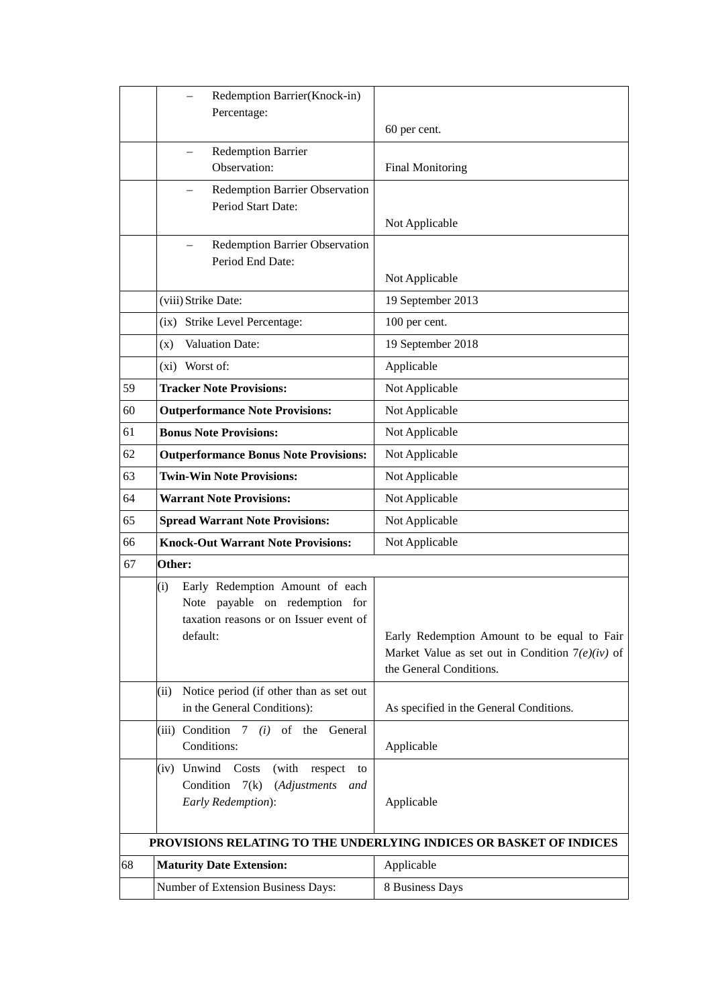|    | Redemption Barrier(Knock-in)<br>Percentage:                                                                                    |                                                                                                                              |
|----|--------------------------------------------------------------------------------------------------------------------------------|------------------------------------------------------------------------------------------------------------------------------|
|    |                                                                                                                                | 60 per cent.                                                                                                                 |
|    | <b>Redemption Barrier</b><br>Observation:                                                                                      | <b>Final Monitoring</b>                                                                                                      |
|    | Redemption Barrier Observation<br>Period Start Date:                                                                           | Not Applicable                                                                                                               |
|    | Redemption Barrier Observation<br>Period End Date:                                                                             | Not Applicable                                                                                                               |
|    | (viii) Strike Date:                                                                                                            | 19 September 2013                                                                                                            |
|    | (ix) Strike Level Percentage:                                                                                                  | 100 per cent.                                                                                                                |
|    | (x) Valuation Date:                                                                                                            | 19 September 2018                                                                                                            |
|    | (xi) Worst of:                                                                                                                 | Applicable                                                                                                                   |
| 59 | <b>Tracker Note Provisions:</b>                                                                                                | Not Applicable                                                                                                               |
| 60 | <b>Outperformance Note Provisions:</b>                                                                                         | Not Applicable                                                                                                               |
| 61 | <b>Bonus Note Provisions:</b>                                                                                                  | Not Applicable                                                                                                               |
| 62 | <b>Outperformance Bonus Note Provisions:</b>                                                                                   | Not Applicable                                                                                                               |
| 63 | <b>Twin-Win Note Provisions:</b>                                                                                               | Not Applicable                                                                                                               |
| 64 | <b>Warrant Note Provisions:</b>                                                                                                | Not Applicable                                                                                                               |
| 65 | <b>Spread Warrant Note Provisions:</b>                                                                                         | Not Applicable                                                                                                               |
| 66 | <b>Knock-Out Warrant Note Provisions:</b>                                                                                      | Not Applicable                                                                                                               |
| 67 | Other:                                                                                                                         |                                                                                                                              |
|    | Early Redemption Amount of each<br>(i)<br>Note payable on redemption for<br>taxation reasons or on Issuer event of<br>default: | Early Redemption Amount to be equal to Fair<br>Market Value as set out in Condition $7(e)(iv)$ of<br>the General Conditions. |
|    | Notice period (if other than as set out<br>(ii)<br>in the General Conditions):                                                 | As specified in the General Conditions.                                                                                      |
|    | (iii) Condition $7$ (i) of the<br>General<br>Conditions:                                                                       | Applicable                                                                                                                   |
|    | (iv) Unwind Costs<br>(with respect<br>to<br>Condition<br>7(k)<br>(Adjustments<br>and<br>Early Redemption):                     | Applicable                                                                                                                   |
|    |                                                                                                                                | PROVISIONS RELATING TO THE UNDERLYING INDICES OR BASKET OF INDICES                                                           |
| 68 | <b>Maturity Date Extension:</b>                                                                                                | Applicable                                                                                                                   |
|    | Number of Extension Business Days:                                                                                             | 8 Business Days                                                                                                              |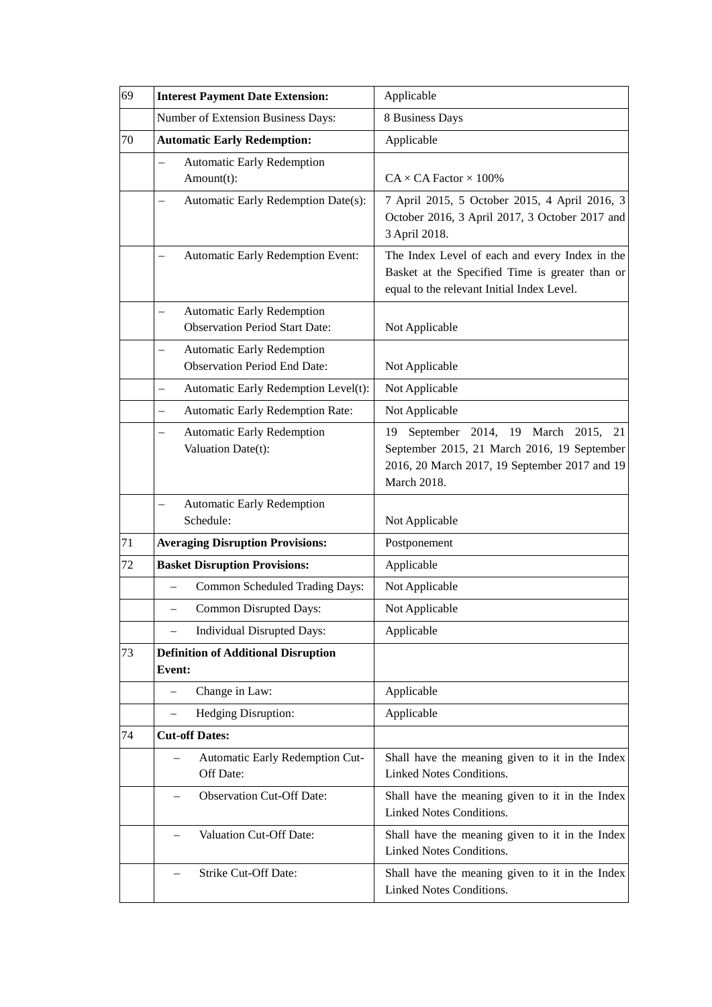| 69 | <b>Interest Payment Date Extension:</b>                                    | Applicable                                                                                                                                                   |
|----|----------------------------------------------------------------------------|--------------------------------------------------------------------------------------------------------------------------------------------------------------|
|    | Number of Extension Business Days:                                         | 8 Business Days                                                                                                                                              |
| 70 | <b>Automatic Early Redemption:</b>                                         | Applicable                                                                                                                                                   |
|    | <b>Automatic Early Redemption</b><br>Amount(t):                            | $CA \times CA$ Factor $\times$ 100%                                                                                                                          |
|    | Automatic Early Redemption Date(s):                                        | 7 April 2015, 5 October 2015, 4 April 2016, 3<br>October 2016, 3 April 2017, 3 October 2017 and<br>3 April 2018.                                             |
|    | Automatic Early Redemption Event:                                          | The Index Level of each and every Index in the<br>Basket at the Specified Time is greater than or<br>equal to the relevant Initial Index Level.              |
|    | <b>Automatic Early Redemption</b><br><b>Observation Period Start Date:</b> | Not Applicable                                                                                                                                               |
|    | <b>Automatic Early Redemption</b><br><b>Observation Period End Date:</b>   | Not Applicable                                                                                                                                               |
|    | Automatic Early Redemption Level(t):<br>$\overline{\phantom{0}}$           | Not Applicable                                                                                                                                               |
|    | Automatic Early Redemption Rate:                                           | Not Applicable                                                                                                                                               |
|    | <b>Automatic Early Redemption</b><br>Valuation Date(t):                    | September 2014, 19 March<br>2015,<br>21<br>19<br>September 2015, 21 March 2016, 19 September<br>2016, 20 March 2017, 19 September 2017 and 19<br>March 2018. |
|    | <b>Automatic Early Redemption</b><br>$\overline{\phantom{0}}$<br>Schedule: | Not Applicable                                                                                                                                               |
| 71 | <b>Averaging Disruption Provisions:</b>                                    | Postponement                                                                                                                                                 |
| 72 | <b>Basket Disruption Provisions:</b>                                       | Applicable                                                                                                                                                   |
|    | Common Scheduled Trading Days:<br>$\overline{\phantom{0}}$                 | Not Applicable                                                                                                                                               |
|    | Common Disrupted Days:                                                     | Not Applicable                                                                                                                                               |
|    | Individual Disrupted Days:                                                 | Applicable                                                                                                                                                   |
| 73 | <b>Definition of Additional Disruption</b><br><b>Event:</b>                |                                                                                                                                                              |
|    | Change in Law:<br>$\overline{\phantom{0}}$                                 | Applicable                                                                                                                                                   |
|    | Hedging Disruption:<br>$\qquad \qquad -$                                   | Applicable                                                                                                                                                   |
| 74 | <b>Cut-off Dates:</b>                                                      |                                                                                                                                                              |
|    | Automatic Early Redemption Cut-<br>Off Date:                               | Shall have the meaning given to it in the Index<br>Linked Notes Conditions.                                                                                  |
|    | <b>Observation Cut-Off Date:</b>                                           | Shall have the meaning given to it in the Index<br>Linked Notes Conditions.                                                                                  |
|    | Valuation Cut-Off Date:                                                    | Shall have the meaning given to it in the Index<br>Linked Notes Conditions.                                                                                  |
|    | Strike Cut-Off Date:                                                       | Shall have the meaning given to it in the Index<br>Linked Notes Conditions.                                                                                  |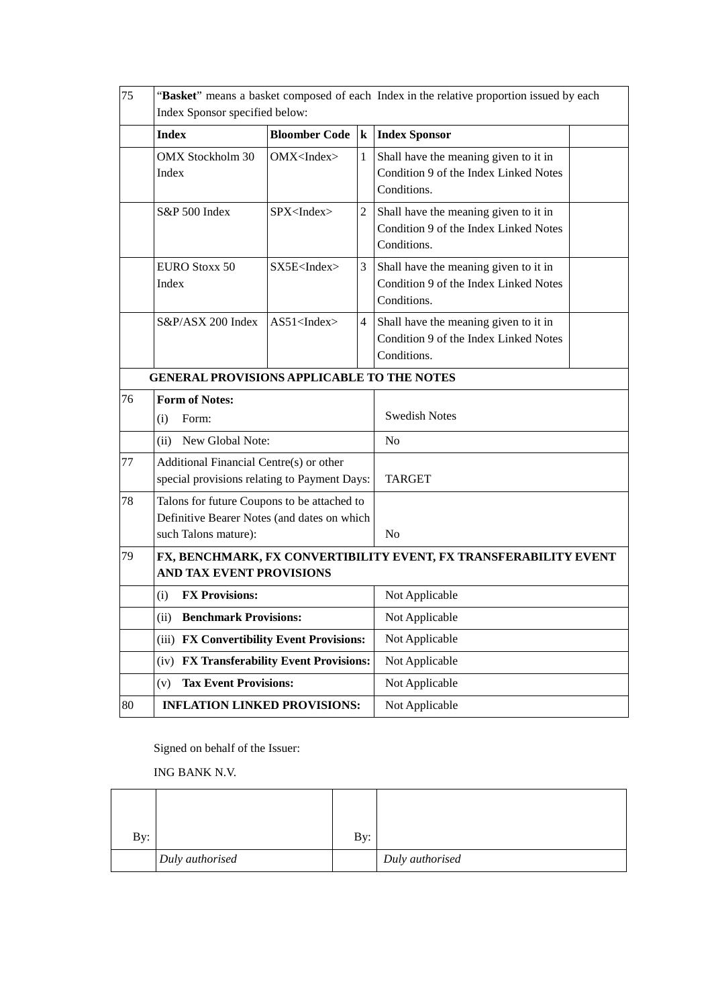| 75 | "Basket" means a basket composed of each Index in the relative proportion issued by each<br>Index Sponsor specified below: |                        |                          |                                                                                               |  |
|----|----------------------------------------------------------------------------------------------------------------------------|------------------------|--------------------------|-----------------------------------------------------------------------------------------------|--|
|    | <b>Index</b>                                                                                                               | <b>Bloomber Code</b>   | $\vert \mathbf{k} \vert$ | <b>Index Sponsor</b>                                                                          |  |
|    | <b>OMX</b> Stockholm 30<br>Index                                                                                           | OMX < Index            | $\mathbf{1}$             | Shall have the meaning given to it in<br>Condition 9 of the Index Linked Notes<br>Conditions. |  |
|    | S&P 500 Index                                                                                                              | SPX <index></index>    | $\overline{c}$           | Shall have the meaning given to it in<br>Condition 9 of the Index Linked Notes<br>Conditions. |  |
|    | <b>EURO Stoxx 50</b><br>Index                                                                                              | SX5E <index></index>   | 3                        | Shall have the meaning given to it in<br>Condition 9 of the Index Linked Notes<br>Conditions. |  |
|    | S&P/ASX 200 Index                                                                                                          | $AS51$ <index></index> | $\overline{4}$           | Shall have the meaning given to it in<br>Condition 9 of the Index Linked Notes<br>Conditions. |  |
|    | <b>GENERAL PROVISIONS APPLICABLE TO THE NOTES</b>                                                                          |                        |                          |                                                                                               |  |
| 76 | <b>Form of Notes:</b><br>Form:<br>(i)                                                                                      |                        | <b>Swedish Notes</b>     |                                                                                               |  |
|    | (ii) New Global Note:                                                                                                      |                        | N <sub>o</sub>           |                                                                                               |  |
| 77 | Additional Financial Centre(s) or other<br>special provisions relating to Payment Days:                                    |                        | <b>TARGET</b>            |                                                                                               |  |
| 78 | Talons for future Coupons to be attached to<br>Definitive Bearer Notes (and dates on which<br>such Talons mature):         |                        |                          | N <sub>0</sub>                                                                                |  |
| 79 | FX, BENCHMARK, FX CONVERTIBILITY EVENT, FX TRANSFERABILITY EVENT<br>AND TAX EVENT PROVISIONS                               |                        |                          |                                                                                               |  |
|    | <b>FX Provisions:</b><br>(i)                                                                                               |                        |                          | Not Applicable                                                                                |  |
|    | (ii) Benchmark Provisions:                                                                                                 |                        | Not Applicable           |                                                                                               |  |
|    | (iii) FX Convertibility Event Provisions:                                                                                  |                        |                          | Not Applicable                                                                                |  |
|    | (iv) FX Transferability Event Provisions:                                                                                  |                        |                          | Not Applicable                                                                                |  |
|    | <b>Tax Event Provisions:</b><br>(v)                                                                                        |                        |                          | Not Applicable                                                                                |  |
| 80 | <b>INFLATION LINKED PROVISIONS:</b>                                                                                        |                        | Not Applicable           |                                                                                               |  |

Signed on behalf of the Issuer:

ING BANK N.V.

| By: |                 | By: |                 |
|-----|-----------------|-----|-----------------|
|     | Duly authorised |     | Duly authorised |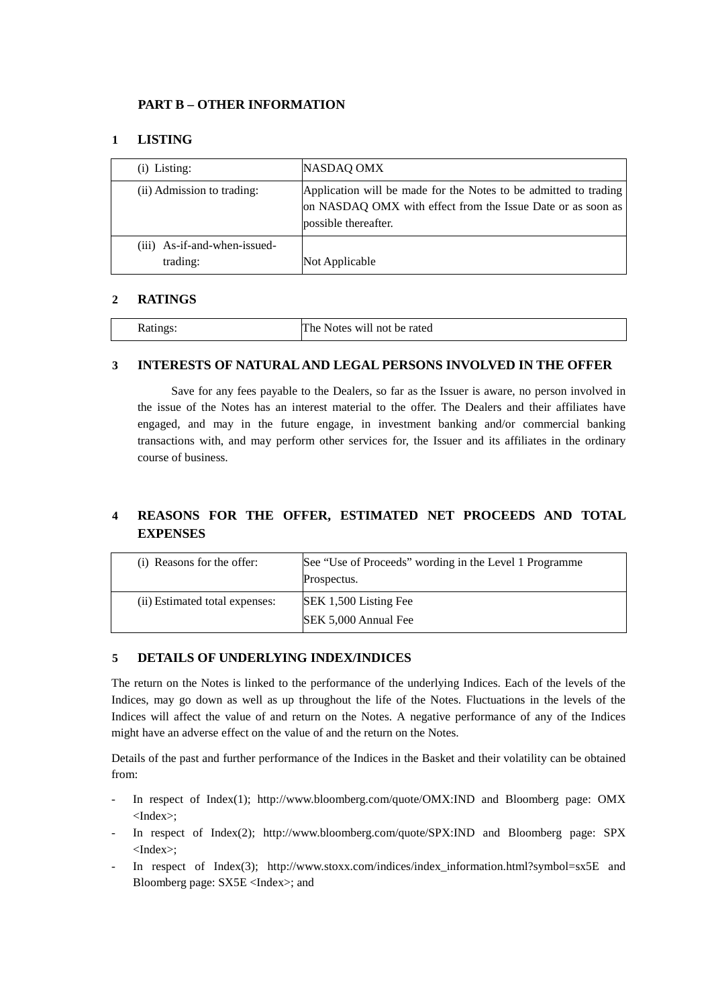# **PART B – OTHER INFORMATION**

# **1 LISTING**

| (i) Listing:                             | NASDAQ OMX                                                                                                                                              |
|------------------------------------------|---------------------------------------------------------------------------------------------------------------------------------------------------------|
| (ii) Admission to trading:               | Application will be made for the Notes to be admitted to trading<br>on NASDAQ OMX with effect from the Issue Date or as soon as<br>possible thereafter. |
| (iii) As-if-and-when-issued-<br>trading: | Not Applicable                                                                                                                                          |

## **2 RATINGS**

| Ratings: | The $\perp$<br>: Notes will not be rated |
|----------|------------------------------------------|
|----------|------------------------------------------|

## **3 INTERESTS OF NATURAL AND LEGAL PERSONS INVOLVED IN THE OFFER**

Save for any fees payable to the Dealers, so far as the Issuer is aware, no person involved in the issue of the Notes has an interest material to the offer. The Dealers and their affiliates have engaged, and may in the future engage, in investment banking and/or commercial banking transactions with, and may perform other services for, the Issuer and its affiliates in the ordinary course of business.

# **4 REASONS FOR THE OFFER, ESTIMATED NET PROCEEDS AND TOTAL EXPENSES**

| (i) Reasons for the offer:     | See "Use of Proceeds" wording in the Level 1 Programme<br>Prospectus. |
|--------------------------------|-----------------------------------------------------------------------|
| (ii) Estimated total expenses: | SEK 1,500 Listing Fee<br>SEK 5,000 Annual Fee                         |

#### **5 DETAILS OF UNDERLYING INDEX/INDICES**

The return on the Notes is linked to the performance of the underlying Indices. Each of the levels of the Indices, may go down as well as up throughout the life of the Notes. Fluctuations in the levels of the Indices will affect the value of and return on the Notes. A negative performance of any of the Indices might have an adverse effect on the value of and the return on the Notes.

Details of the past and further performance of the Indices in the Basket and their volatility can be obtained from:

- In respect of Index(1); [http://www.bloomberg.com/quote/OMX:IND](http://en.indices.cc/indices/details/rdu/) and Bloomberg page: OMX <Index>;
- In respect of Index(2); http://www.bloomberg.com/quote/SPX:IND and Bloomberg page: SPX <Index>;
- In respect of Index(3); http://www.stoxx.com/indices/index\_information.html?symbol=sx5E and Bloomberg page: SX5E <Index>; and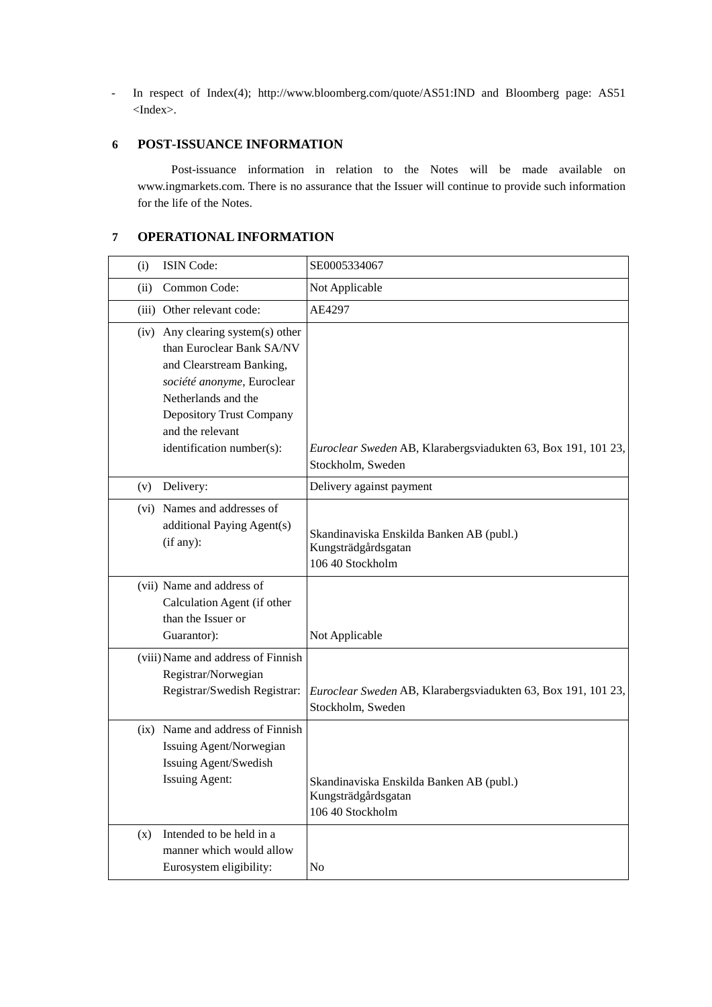- In respect of Index(4); http://www.bloomberg.com/quote/AS51:IND and Bloomberg page: AS51 <Index>.

# **6 POST-ISSUANCE INFORMATION**

Post-issuance information in relation to the Notes will be made available on www.ingmarkets.com. There is no assurance that the Issuer will continue to provide such information for the life of the Notes.

# **7 OPERATIONAL INFORMATION**

| (i)  | ISIN Code:                                                                                                                                                                                                                   | SE0005334067                                                                        |
|------|------------------------------------------------------------------------------------------------------------------------------------------------------------------------------------------------------------------------------|-------------------------------------------------------------------------------------|
| (ii) | Common Code:                                                                                                                                                                                                                 | Not Applicable                                                                      |
|      | (iii) Other relevant code:                                                                                                                                                                                                   | AE4297                                                                              |
|      | (iv) Any clearing system(s) other<br>than Euroclear Bank SA/NV<br>and Clearstream Banking,<br>société anonyme, Euroclear<br>Netherlands and the<br>Depository Trust Company<br>and the relevant<br>identification number(s): | Euroclear Sweden AB, Klarabergsviadukten 63, Box 191, 101 23,<br>Stockholm, Sweden  |
| (v)  | Delivery:                                                                                                                                                                                                                    | Delivery against payment                                                            |
|      | (vi) Names and addresses of<br>additional Paying Agent(s)<br>(if any):                                                                                                                                                       | Skandinaviska Enskilda Banken AB (publ.)<br>Kungsträdgårdsgatan<br>106 40 Stockholm |
|      | (vii) Name and address of<br>Calculation Agent (if other<br>than the Issuer or<br>Guarantor):<br>(viii) Name and address of Finnish                                                                                          | Not Applicable                                                                      |
|      | Registrar/Norwegian<br>Registrar/Swedish Registrar:                                                                                                                                                                          | Euroclear Sweden AB, Klarabergsviadukten 63, Box 191, 101 23,<br>Stockholm, Sweden  |
|      | (ix) Name and address of Finnish<br>Issuing Agent/Norwegian<br>Issuing Agent/Swedish<br><b>Issuing Agent:</b>                                                                                                                | Skandinaviska Enskilda Banken AB (publ.)<br>Kungsträdgårdsgatan<br>106 40 Stockholm |
| (x)  | Intended to be held in a<br>manner which would allow<br>Eurosystem eligibility:                                                                                                                                              | No                                                                                  |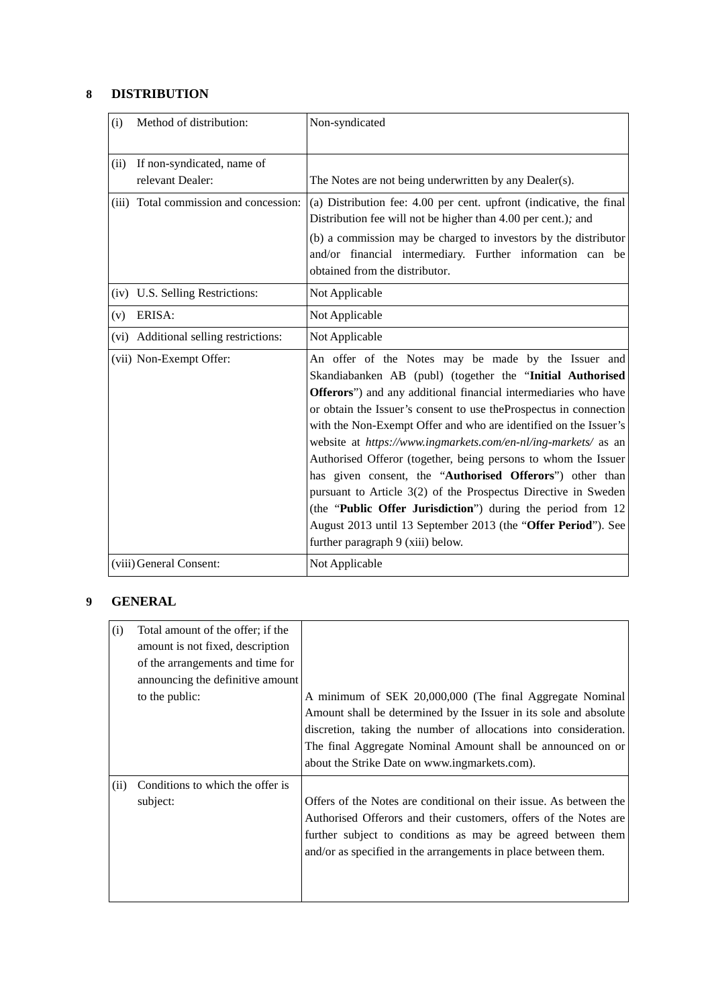# **8 DISTRIBUTION**

| (i)  | Method of distribution:                        | Non-syndicated                                                                                                                                                                                                                                                                                                                                                                                                                                                                                                                                                                                                                                                                                                                                                       |
|------|------------------------------------------------|----------------------------------------------------------------------------------------------------------------------------------------------------------------------------------------------------------------------------------------------------------------------------------------------------------------------------------------------------------------------------------------------------------------------------------------------------------------------------------------------------------------------------------------------------------------------------------------------------------------------------------------------------------------------------------------------------------------------------------------------------------------------|
| (ii) | If non-syndicated, name of<br>relevant Dealer: | The Notes are not being underwritten by any Dealer(s).                                                                                                                                                                                                                                                                                                                                                                                                                                                                                                                                                                                                                                                                                                               |
|      | (iii) Total commission and concession:         | (a) Distribution fee: 4.00 per cent. upfront (indicative, the final<br>Distribution fee will not be higher than 4.00 per cent.); and<br>(b) a commission may be charged to investors by the distributor<br>and/or financial intermediary. Further information can be<br>obtained from the distributor.                                                                                                                                                                                                                                                                                                                                                                                                                                                               |
|      | (iv) U.S. Selling Restrictions:                | Not Applicable                                                                                                                                                                                                                                                                                                                                                                                                                                                                                                                                                                                                                                                                                                                                                       |
| (v)  | ERISA:                                         | Not Applicable                                                                                                                                                                                                                                                                                                                                                                                                                                                                                                                                                                                                                                                                                                                                                       |
|      | (vi) Additional selling restrictions:          | Not Applicable                                                                                                                                                                                                                                                                                                                                                                                                                                                                                                                                                                                                                                                                                                                                                       |
|      | (vii) Non-Exempt Offer:                        | An offer of the Notes may be made by the Issuer and<br>Skandiabanken AB (publ) (together the "Initial Authorised<br>Offerors") and any additional financial intermediaries who have<br>or obtain the Issuer's consent to use the Prospectus in connection<br>with the Non-Exempt Offer and who are identified on the Issuer's<br>website at https://www.ingmarkets.com/en-nl/ing-markets/ as an<br>Authorised Offeror (together, being persons to whom the Issuer<br>has given consent, the "Authorised Offerors") other than<br>pursuant to Article 3(2) of the Prospectus Directive in Sweden<br>(the "Public Offer Jurisdiction") during the period from 12<br>August 2013 until 13 September 2013 (the "Offer Period"). See<br>further paragraph 9 (xiii) below. |
|      | (viii) General Consent:                        | Not Applicable                                                                                                                                                                                                                                                                                                                                                                                                                                                                                                                                                                                                                                                                                                                                                       |

# **9 GENERAL**

| (i)  | Total amount of the offer; if the<br>amount is not fixed, description<br>of the arrangements and time for<br>announcing the definitive amount<br>to the public: | A minimum of SEK 20,000,000 (The final Aggregate Nominal<br>Amount shall be determined by the Issuer in its sole and absolute<br>discretion, taking the number of allocations into consideration.<br>The final Aggregate Nominal Amount shall be announced on or<br>about the Strike Date on www.ingmarkets.com). |
|------|-----------------------------------------------------------------------------------------------------------------------------------------------------------------|-------------------------------------------------------------------------------------------------------------------------------------------------------------------------------------------------------------------------------------------------------------------------------------------------------------------|
| (ii) | Conditions to which the offer is<br>subject:                                                                                                                    | Offers of the Notes are conditional on their issue. As between the<br>Authorised Offerors and their customers, offers of the Notes are<br>further subject to conditions as may be agreed between them<br>and/or as specified in the arrangements in place between them.                                           |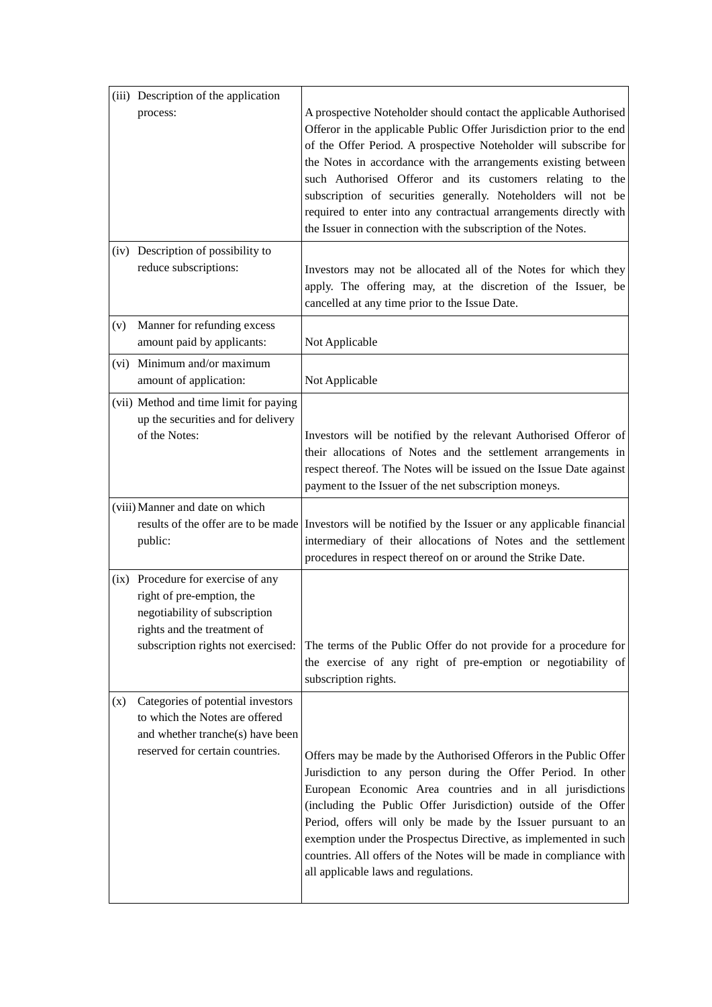|     | (iii) Description of the application                                                                                                                                  |                                                                                                                                                                                                                                                                                                                                                                                                                                                                                                                                                    |
|-----|-----------------------------------------------------------------------------------------------------------------------------------------------------------------------|----------------------------------------------------------------------------------------------------------------------------------------------------------------------------------------------------------------------------------------------------------------------------------------------------------------------------------------------------------------------------------------------------------------------------------------------------------------------------------------------------------------------------------------------------|
|     | process:                                                                                                                                                              | A prospective Noteholder should contact the applicable Authorised<br>Offeror in the applicable Public Offer Jurisdiction prior to the end<br>of the Offer Period. A prospective Noteholder will subscribe for<br>the Notes in accordance with the arrangements existing between<br>such Authorised Offeror and its customers relating to the<br>subscription of securities generally. Noteholders will not be<br>required to enter into any contractual arrangements directly with<br>the Issuer in connection with the subscription of the Notes. |
|     | (iv) Description of possibility to<br>reduce subscriptions:                                                                                                           | Investors may not be allocated all of the Notes for which they<br>apply. The offering may, at the discretion of the Issuer, be<br>cancelled at any time prior to the Issue Date.                                                                                                                                                                                                                                                                                                                                                                   |
| (v) | Manner for refunding excess<br>amount paid by applicants:                                                                                                             | Not Applicable                                                                                                                                                                                                                                                                                                                                                                                                                                                                                                                                     |
|     | (vi) Minimum and/or maximum<br>amount of application:                                                                                                                 | Not Applicable                                                                                                                                                                                                                                                                                                                                                                                                                                                                                                                                     |
|     | (vii) Method and time limit for paying<br>up the securities and for delivery<br>of the Notes:                                                                         | Investors will be notified by the relevant Authorised Offeror of<br>their allocations of Notes and the settlement arrangements in<br>respect thereof. The Notes will be issued on the Issue Date against<br>payment to the Issuer of the net subscription moneys.                                                                                                                                                                                                                                                                                  |
|     | (viii) Manner and date on which<br>public:                                                                                                                            | results of the offer are to be made Investors will be notified by the Issuer or any applicable financial<br>intermediary of their allocations of Notes and the settlement<br>procedures in respect thereof on or around the Strike Date.                                                                                                                                                                                                                                                                                                           |
|     | (ix) Procedure for exercise of any<br>right of pre-emption, the<br>negotiability of subscription<br>rights and the treatment of<br>subscription rights not exercised: | The terms of the Public Offer do not provide for a procedure for<br>the exercise of any right of pre-emption or negotiability of<br>subscription rights.                                                                                                                                                                                                                                                                                                                                                                                           |
| (x) | Categories of potential investors<br>to which the Notes are offered<br>and whether tranche(s) have been<br>reserved for certain countries.                            | Offers may be made by the Authorised Offerors in the Public Offer<br>Jurisdiction to any person during the Offer Period. In other<br>European Economic Area countries and in all jurisdictions<br>(including the Public Offer Jurisdiction) outside of the Offer<br>Period, offers will only be made by the Issuer pursuant to an<br>exemption under the Prospectus Directive, as implemented in such<br>countries. All offers of the Notes will be made in compliance with<br>all applicable laws and regulations.                                |